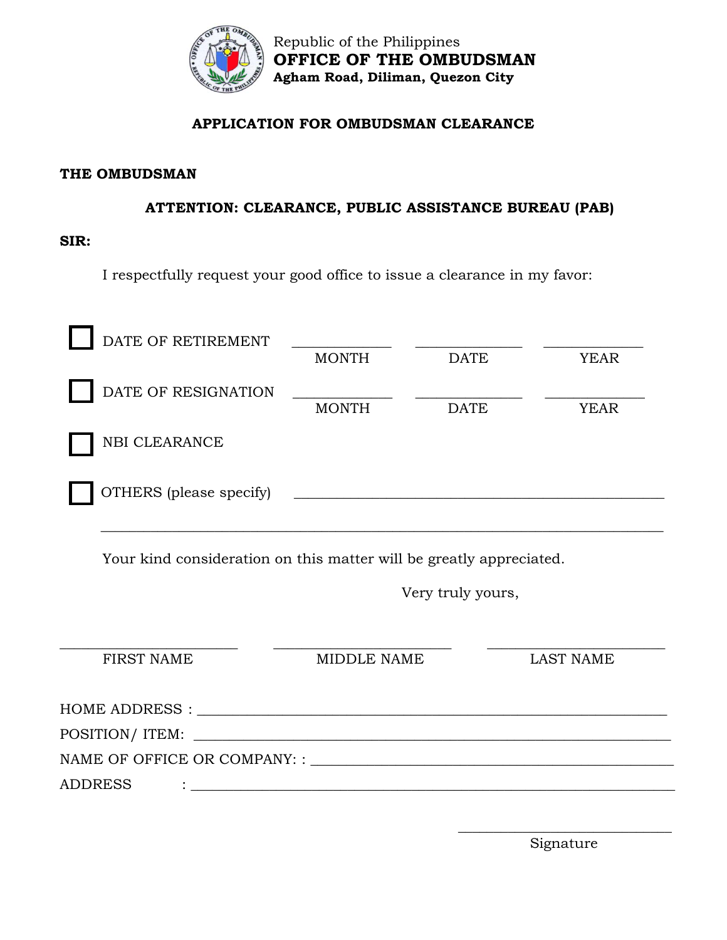

## **APPLICATION FOR OMBUDSMAN CLEARANCE**

### **THE OMBUDSMAN**

## **ATTENTION: CLEARANCE, PUBLIC ASSISTANCE BUREAU (PAB)**

#### **SIR:**

I respectfully request your good office to issue a clearance in my favor:

| DATE OF RETIREMENT      | <b>MONTH</b> | <b>DATE</b> | <b>YEAR</b> |
|-------------------------|--------------|-------------|-------------|
| DATE OF RESIGNATION     | <b>MONTH</b> | DATE        | <b>YEAR</b> |
| <b>NBI CLEARANCE</b>    |              |             |             |
| OTHERS (please specify) |              |             |             |
|                         |              |             |             |

Your kind consideration on this matter will be greatly appreciated.

Very truly yours,

| <b>FIRST NAME</b> | MIDDLE NAME                                                | LAST NAME |
|-------------------|------------------------------------------------------------|-----------|
|                   |                                                            |           |
|                   | POSITION/ITEM:                                             |           |
|                   |                                                            |           |
| <b>ADDRESS</b>    | <u> 1980 - John Stein, Amerikaansk politiker (</u> † 1920) |           |
|                   |                                                            |           |

 $\overline{\phantom{a}}$  , and the set of the set of the set of the set of the set of the set of the set of the set of the set of the set of the set of the set of the set of the set of the set of the set of the set of the set of the s Signature